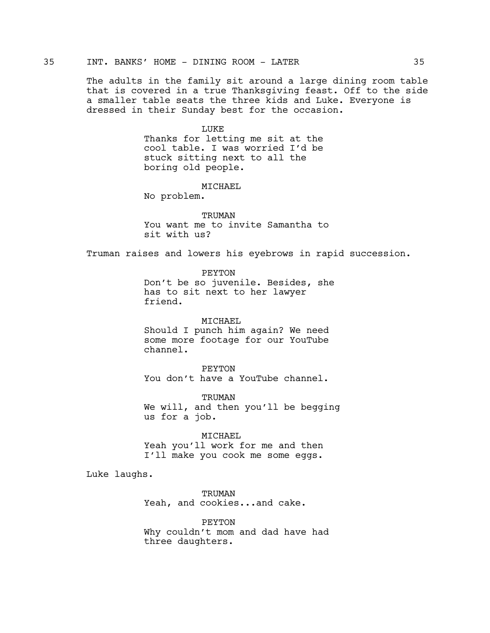The adults in the family sit around a large dining room table that is covered in a true Thanksgiving feast. Off to the side a smaller table seats the three kids and Luke. Everyone is dressed in their Sunday best for the occasion.

LUKE

Thanks for letting me sit at the cool table. I was worried I'd be stuck sitting next to all the boring old people.

MICHAEL

No problem.

TRUMAN You want me to invite Samantha to sit with us?

Truman raises and lowers his eyebrows in rapid succession.

PEYTON Don't be so juvenile. Besides, she has to sit next to her lawyer friend.

MICHAEL Should I punch him again? We need some more footage for our YouTube channel.

PEYTON You don't have a YouTube channel.

TRUMAN We will, and then you'll be begging us for a job.

MICHAEL Yeah you'll work for me and then I'll make you cook me some eggs.

Luke laughs.

TRUMAN Yeah, and cookies...and cake.

PEYTON Why couldn't mom and dad have had three daughters.